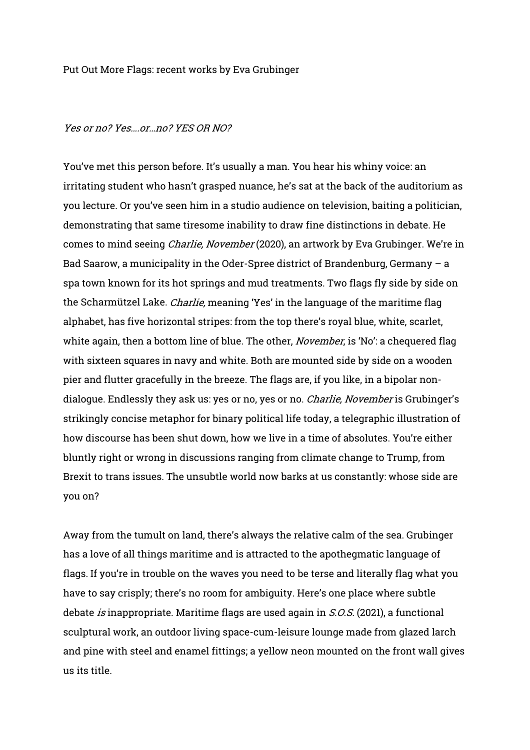## Put Out More Flags: recent works by Eva Grubinger

## Yes or no? Yes or no? YES OR NO?

You've met this person before. It's usually a man. You hear his whiny voice: an irritating student who hasn't grasped nuance, he's sat at the back of the auditorium as you lecture. Or you've seen him in a studio audience on television, baiting a politician, demonstrating that same tiresome inability to draw fine distinctions in debate. He comes to mind seeing Charlie, November (2020), an artwork by Eva Grubinger. We're in Bad Saarow, a municipality in the Oder-Spree district of Brandenburg, Germany – a spa town known for its hot springs and mud treatments. Two flags fly side by side on the Scharmützel Lake. *Charlie,* meaning 'Yes' in the language of the maritime flag alphabet, has five horizontal stripes: from the top there's royal blue, white, scarlet, white again, then a bottom line of blue. The other, *November*, is 'No': a chequered flag with sixteen squares in navy and white. Both are mounted side by side on a wooden pier and flutter gracefully in the breeze. The flags are, if you like, in a bipolar nondialogue. Endlessly they ask us: yes or no, yes or no. *Charlie, November* is Grubinger's strikingly concise metaphor for binary political life today, a telegraphic illustration of how discourse has been shut down, how we live in a time of absolutes. You're either bluntly right or wrong in discussions ranging from climate change to Trump, from Brexit to trans issues. The unsubtle world now barks at us constantly: whose side are you on?

Away from the tumult on land, there's always the relative calm of the sea. Grubinger has a love of all things maritime and is attracted to the apothegmatic language of flags. If you're in trouble on the waves you need to be terse and literally flag what you have to say crisply; there's no room for ambiguity. Here's one place where subtle debate is inappropriate. Maritime flags are used again in S.O.S. (2021), a functional sculptural work, an outdoor living space-cum-leisure lounge made from glazed larch and pine with steel and enamel fittings; a yellow neon mounted on the front wall gives us its title.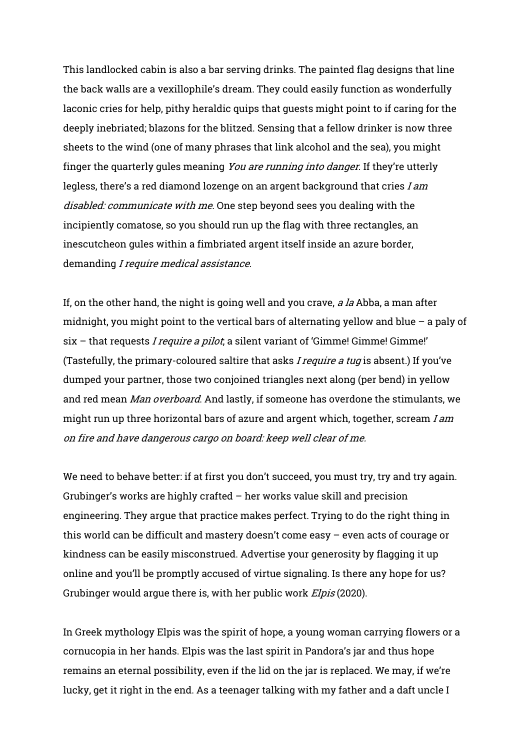This landlocked cabin is also a bar serving drinks. The painted flag designs that line the back walls are a vexillophile's dream. They could easily function as wonderfully laconic cries for help, pithy heraldic quips that guests might point to if caring for the deeply inebriated; blazons for the blitzed. Sensing that a fellow drinker is now three sheets to the wind (one of many phrases that link alcohol and the sea), you might finger the quarterly gules meaning You are running into danger. If they're utterly legless, there's a red diamond lozenge on an argent background that cries I am disabled: communicate with me. One step beyond sees you dealing with the incipiently comatose, so you should run up the flag with three rectangles, an inescutcheon gules within a fimbriated argent itself inside an azure border, demanding I require medical assistance.

If, on the other hand, the night is going well and you crave, *a la* Abba, a man after midnight, you might point to the vertical bars of alternating yellow and blue  $-$  a paly of  $six - that requests *I require a pilot*, a silent variant of 'Gimmel' Gimmel' Gimmel'$ (Tastefully, the primary-coloured saltire that asks *I require a tug* is absent.) If you've dumped your partner, those two conjoined triangles next along (per bend) in yellow and red mean Man overboard. And lastly, if someone has overdone the stimulants, we might run up three horizontal bars of azure and argent which, together, scream I am on fire and have dangerous cargo on board: keep well clear of me.

We need to behave better: if at first you don't succeed, you must try, try and try again. Grubinger's works are highly crafted – her works value skill and precision engineering. They argue that practice makes perfect. Trying to do the right thing in this world can be difficult and mastery doesn't come easy – even acts of courage or kindness can be easily misconstrued. Advertise your generosity by flagging it up online and you'll be promptly accused of virtue signaling. Is there any hope for us? Grubinger would arque there is, with her public work *Elpis* (2020).

In Greek mythology Elpis was the spirit of hope, a young woman carrying flowers or a cornucopia in her hands. Elpis was the last spirit in Pandora's jar and thus hope remains an eternal possibility, even if the lid on the jar is replaced. We may, if we're lucky, get it right in the end. As a teenager talking with my father and a daft uncle I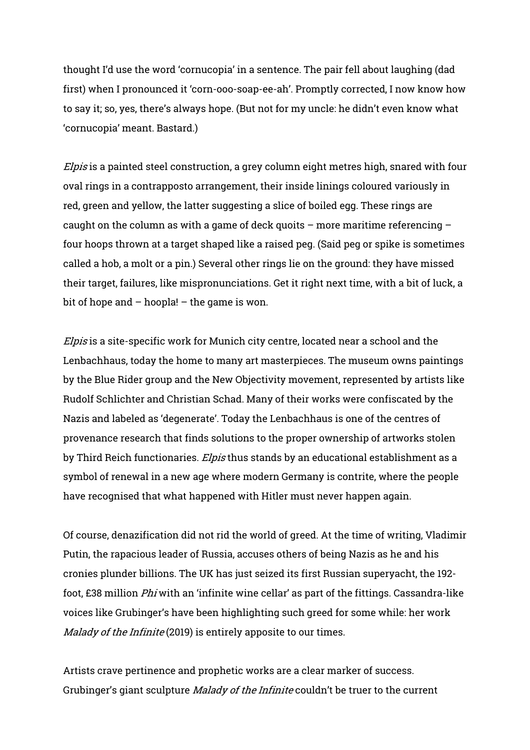thought I'd use the word 'cornucopia' in a sentence. The pair fell about laughing (dad first) when I pronounced it 'corn-ooo-soap-ee-ah'. Promptly corrected, I now know how to say it; so, yes, there's always hope. (But not for my uncle: he didn't even know what 'cornucopia' meant. Bastard.)

Elpis is a painted steel construction, a grey column eight metres high, snared with four oval rings in a contrapposto arrangement, their inside linings coloured variously in red, green and yellow, the latter suggesting a slice of boiled egg. These rings are caught on the column as with a game of deck quoits – more maritime referencing – four hoops thrown at a target shaped like a raised peg. (Said peg or spike is sometimes called a hob, a molt or a pin.) Several other rings lie on the ground: they have missed their target, failures, like mispronunciations. Get it right next time, with a bit of luck, a bit of hope and  $-$  hoopla!  $-$  the game is won.

Elpis is a site-specific work for Munich city centre, located near a school and the Lenbachhaus, today the home to many art masterpieces. The museum owns paintings by the Blue Rider group and the New Objectivity movement, represented by artists like Rudolf Schlichter and Christian Schad. Many of their works were confiscated by the Nazis and labeled as 'degenerate'. Today the Lenbachhaus is one of the centres of provenance research that finds solutions to the proper ownership of artworks stolen by Third Reich functionaries. *Elpis* thus stands by an educational establishment as a symbol of renewal in a new age where modern Germany is contrite, where the people have recognised that what happened with Hitler must never happen again.

Of course, denazification did not rid the world of greed. At the time of writing, Vladimir Putin, the rapacious leader of Russia, accuses others of being Nazis as he and his cronies plunder billions. The UK has just seized its first Russian superyacht, the 192 foot, £38 million Phi with an 'infinite wine cellar' as part of the fittings. Cassandra-like voices like Grubinger's have been highlighting such greed for some while: her work Malady of the Infinite (2019) is entirely apposite to our times.

Artists crave pertinence and prophetic works are a clear marker of success. Grubinger's giant sculpture *Malady of the Infinite* couldn't be truer to the current